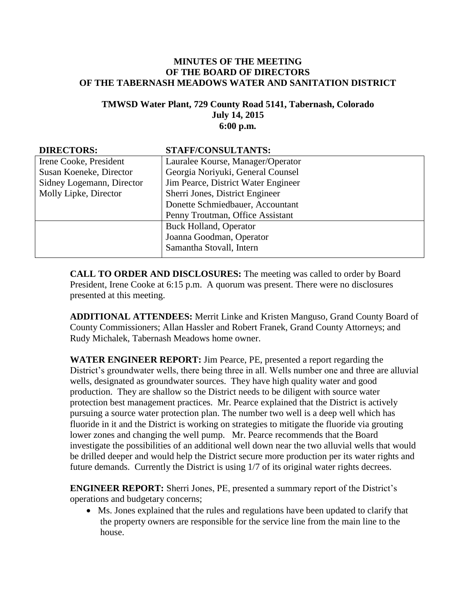## **MINUTES OF THE MEETING OF THE BOARD OF DIRECTORS OF THE TABERNASH MEADOWS WATER AND SANITATION DISTRICT**

## **TMWSD Water Plant, 729 County Road 5141, Tabernash, Colorado July 14, 2015 6:00 p.m.**

| <b>DIRECTORS:</b>         | <b>STAFF/CONSULTANTS:</b>           |
|---------------------------|-------------------------------------|
| Irene Cooke, President    | Lauralee Kourse, Manager/Operator   |
| Susan Koeneke, Director   | Georgia Noriyuki, General Counsel   |
| Sidney Logemann, Director | Jim Pearce, District Water Engineer |
| Molly Lipke, Director     | Sherri Jones, District Engineer     |
|                           | Donette Schmiedbauer, Accountant    |
|                           | Penny Troutman, Office Assistant    |
|                           | <b>Buck Holland, Operator</b>       |
|                           | Joanna Goodman, Operator            |
|                           | Samantha Stovall, Intern            |

**CALL TO ORDER AND DISCLOSURES:** The meeting was called to order by Board President, Irene Cooke at 6:15 p.m. A quorum was present. There were no disclosures presented at this meeting.

**ADDITIONAL ATTENDEES:** Merrit Linke and Kristen Manguso, Grand County Board of County Commissioners; Allan Hassler and Robert Franek, Grand County Attorneys; and Rudy Michalek, Tabernash Meadows home owner.

**WATER ENGINEER REPORT:** Jim Pearce, PE, presented a report regarding the District's groundwater wells, there being three in all. Wells number one and three are alluvial wells, designated as groundwater sources. They have high quality water and good production. They are shallow so the District needs to be diligent with source water protection best management practices. Mr. Pearce explained that the District is actively pursuing a source water protection plan. The number two well is a deep well which has fluoride in it and the District is working on strategies to mitigate the fluoride via grouting lower zones and changing the well pump. Mr. Pearce recommends that the Board investigate the possibilities of an additional well down near the two alluvial wells that would be drilled deeper and would help the District secure more production per its water rights and future demands. Currently the District is using 1/7 of its original water rights decrees.

**ENGINEER REPORT:** Sherri Jones, PE, presented a summary report of the District's operations and budgetary concerns;

 Ms. Jones explained that the rules and regulations have been updated to clarify that the property owners are responsible for the service line from the main line to the house.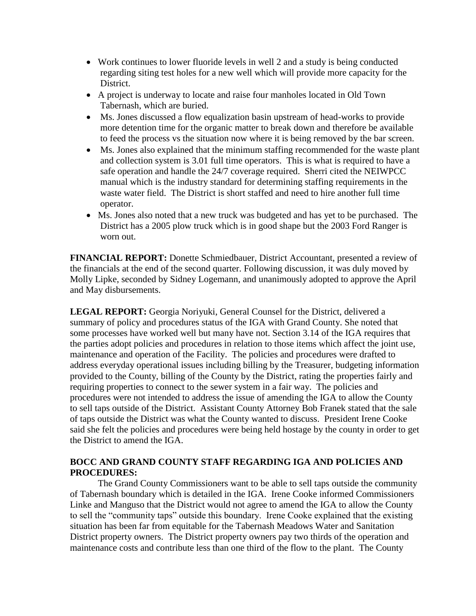- Work continues to lower fluoride levels in well 2 and a study is being conducted regarding siting test holes for a new well which will provide more capacity for the District.
- A project is underway to locate and raise four manholes located in Old Town Tabernash, which are buried.
- Ms. Jones discussed a flow equalization basin upstream of head-works to provide more detention time for the organic matter to break down and therefore be available to feed the process vs the situation now where it is being removed by the bar screen.
- Ms. Jones also explained that the minimum staffing recommended for the waste plant and collection system is 3.01 full time operators. This is what is required to have a safe operation and handle the 24/7 coverage required. Sherri cited the NEIWPCC manual which is the industry standard for determining staffing requirements in the waste water field. The District is short staffed and need to hire another full time operator.
- Ms. Jones also noted that a new truck was budgeted and has yet to be purchased. The District has a 2005 plow truck which is in good shape but the 2003 Ford Ranger is worn out.

**FINANCIAL REPORT:** Donette Schmiedbauer, District Accountant, presented a review of the financials at the end of the second quarter. Following discussion, it was duly moved by Molly Lipke, seconded by Sidney Logemann, and unanimously adopted to approve the April and May disbursements.

**LEGAL REPORT:** Georgia Noriyuki, General Counsel for the District, delivered a summary of policy and procedures status of the IGA with Grand County. She noted that some processes have worked well but many have not. Section 3.14 of the IGA requires that the parties adopt policies and procedures in relation to those items which affect the joint use, maintenance and operation of the Facility. The policies and procedures were drafted to address everyday operational issues including billing by the Treasurer, budgeting information provided to the County, billing of the County by the District, rating the properties fairly and requiring properties to connect to the sewer system in a fair way. The policies and procedures were not intended to address the issue of amending the IGA to allow the County to sell taps outside of the District. Assistant County Attorney Bob Franek stated that the sale of taps outside the District was what the County wanted to discuss. President Irene Cooke said she felt the policies and procedures were being held hostage by the county in order to get the District to amend the IGA.

## **BOCC AND GRAND COUNTY STAFF REGARDING IGA AND POLICIES AND PROCEDURES:**

The Grand County Commissioners want to be able to sell taps outside the community of Tabernash boundary which is detailed in the IGA. Irene Cooke informed Commissioners Linke and Manguso that the District would not agree to amend the IGA to allow the County to sell the "community taps" outside this boundary. Irene Cooke explained that the existing situation has been far from equitable for the Tabernash Meadows Water and Sanitation District property owners. The District property owners pay two thirds of the operation and maintenance costs and contribute less than one third of the flow to the plant. The County